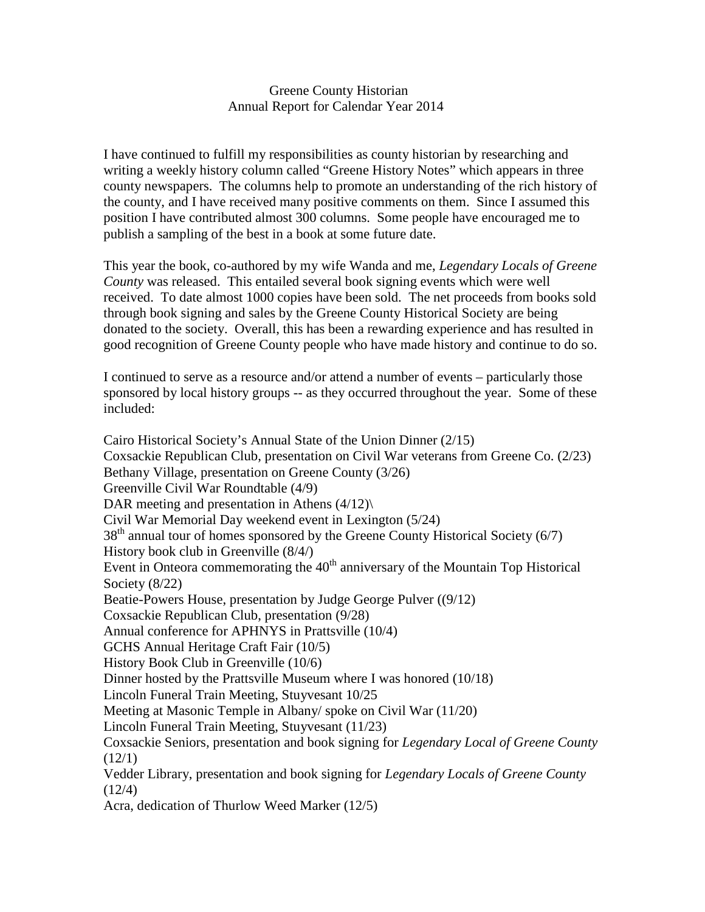## Greene County Historian Annual Report for Calendar Year 2014

I have continued to fulfill my responsibilities as county historian by researching and writing a weekly history column called "Greene History Notes" which appears in three county newspapers. The columns help to promote an understanding of the rich history of the county, and I have received many positive comments on them. Since I assumed this position I have contributed almost 300 columns. Some people have encouraged me to publish a sampling of the best in a book at some future date.

This year the book, co-authored by my wife Wanda and me, *Legendary Locals of Greene County* was released. This entailed several book signing events which were well received. To date almost 1000 copies have been sold. The net proceeds from books sold through book signing and sales by the Greene County Historical Society are being donated to the society. Overall, this has been a rewarding experience and has resulted in good recognition of Greene County people who have made history and continue to do so.

I continued to serve as a resource and/or attend a number of events – particularly those sponsored by local history groups -- as they occurred throughout the year. Some of these included:

Cairo Historical Society's Annual State of the Union Dinner (2/15) Coxsackie Republican Club, presentation on Civil War veterans from Greene Co. (2/23) Bethany Village, presentation on Greene County (3/26) Greenville Civil War Roundtable (4/9) DAR meeting and presentation in Athens  $(4/12)$ Civil War Memorial Day weekend event in Lexington (5/24)  $38<sup>th</sup>$  annual tour of homes sponsored by the Greene County Historical Society (6/7) History book club in Greenville (8/4/) Event in Onteora commemorating the  $40<sup>th</sup>$  anniversary of the Mountain Top Historical Society (8/22) Beatie-Powers House, presentation by Judge George Pulver ((9/12) Coxsackie Republican Club, presentation (9/28) Annual conference for APHNYS in Prattsville (10/4) GCHS Annual Heritage Craft Fair (10/5) History Book Club in Greenville (10/6) Dinner hosted by the Prattsville Museum where I was honored (10/18) Lincoln Funeral Train Meeting, Stuyvesant 10/25 Meeting at Masonic Temple in Albany/ spoke on Civil War (11/20) Lincoln Funeral Train Meeting, Stuyvesant (11/23) Coxsackie Seniors*,* presentation and book signing for *Legendary Local of Greene County*  $(12/1)$ Vedder Library, presentation and book signing for *Legendary Locals of Greene County*  $(12/4)$ Acra, dedication of Thurlow Weed Marker (12/5)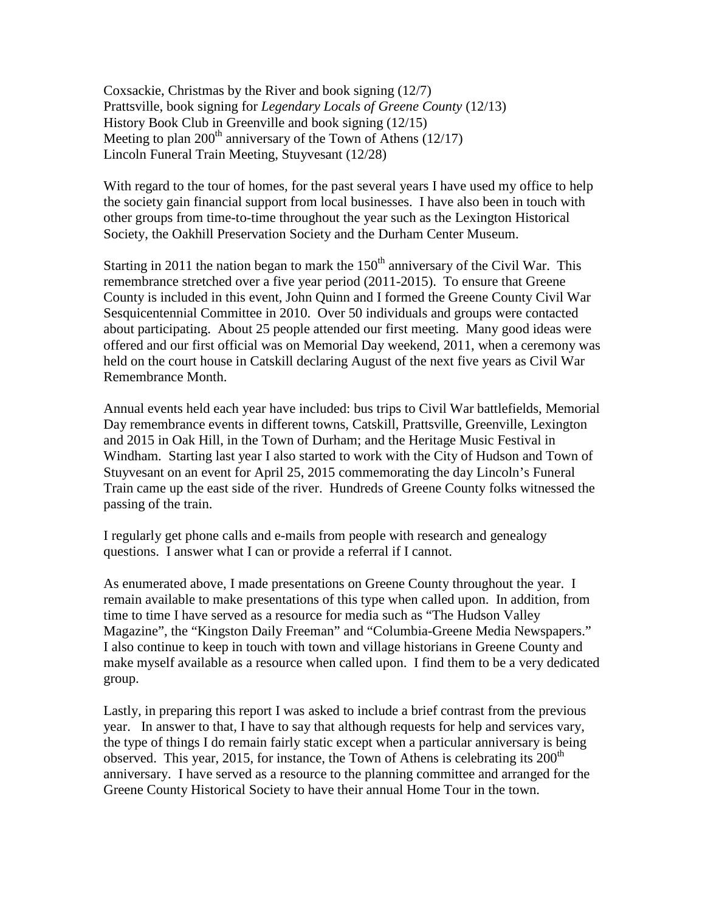Coxsackie, Christmas by the River and book signing (12/7) Prattsville, book signing for *Legendary Locals of Greene County* (12/13) History Book Club in Greenville and book signing (12/15) Meeting to plan 200<sup>th</sup> anniversary of the Town of Athens (12/17) Lincoln Funeral Train Meeting, Stuyvesant (12/28)

With regard to the tour of homes, for the past several years I have used my office to help the society gain financial support from local businesses. I have also been in touch with other groups from time-to-time throughout the year such as the Lexington Historical Society, the Oakhill Preservation Society and the Durham Center Museum.

Starting in 2011 the nation began to mark the  $150<sup>th</sup>$  anniversary of the Civil War. This remembrance stretched over a five year period (2011-2015). To ensure that Greene County is included in this event, John Quinn and I formed the Greene County Civil War Sesquicentennial Committee in 2010. Over 50 individuals and groups were contacted about participating. About 25 people attended our first meeting. Many good ideas were offered and our first official was on Memorial Day weekend, 2011, when a ceremony was held on the court house in Catskill declaring August of the next five years as Civil War Remembrance Month.

Annual events held each year have included: bus trips to Civil War battlefields, Memorial Day remembrance events in different towns, Catskill, Prattsville, Greenville, Lexington and 2015 in Oak Hill, in the Town of Durham; and the Heritage Music Festival in Windham. Starting last year I also started to work with the City of Hudson and Town of Stuyvesant on an event for April 25, 2015 commemorating the day Lincoln's Funeral Train came up the east side of the river. Hundreds of Greene County folks witnessed the passing of the train.

I regularly get phone calls and e-mails from people with research and genealogy questions. I answer what I can or provide a referral if I cannot.

As enumerated above, I made presentations on Greene County throughout the year. I remain available to make presentations of this type when called upon. In addition, from time to time I have served as a resource for media such as "The Hudson Valley Magazine", the "Kingston Daily Freeman" and "Columbia-Greene Media Newspapers." I also continue to keep in touch with town and village historians in Greene County and make myself available as a resource when called upon. I find them to be a very dedicated group.

Lastly, in preparing this report I was asked to include a brief contrast from the previous year. In answer to that, I have to say that although requests for help and services vary, the type of things I do remain fairly static except when a particular anniversary is being observed. This year, 2015, for instance, the Town of Athens is celebrating its  $200<sup>th</sup>$ anniversary. I have served as a resource to the planning committee and arranged for the Greene County Historical Society to have their annual Home Tour in the town.